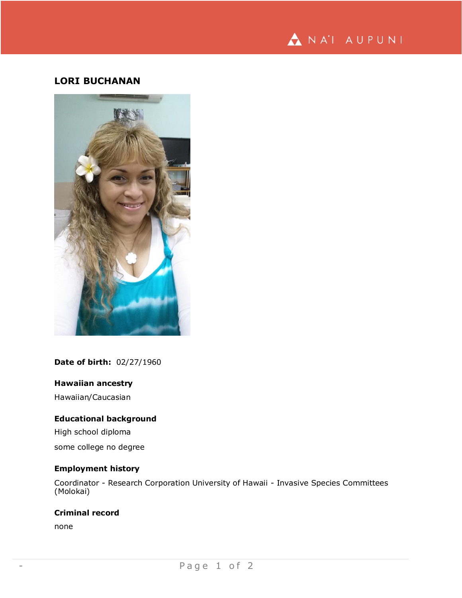

# **LORI BUCHANAN**



## **Date of birth:** 02/27/1960

## **Hawaiian ancestry**

Hawaiian/Caucasian

## **Educational background**

High school diploma

some college no degree

## **Employment history**

Coordinator - Research Corporation University of Hawaii - Invasive Species Committees (Molokai)

#### **Criminal record**

none